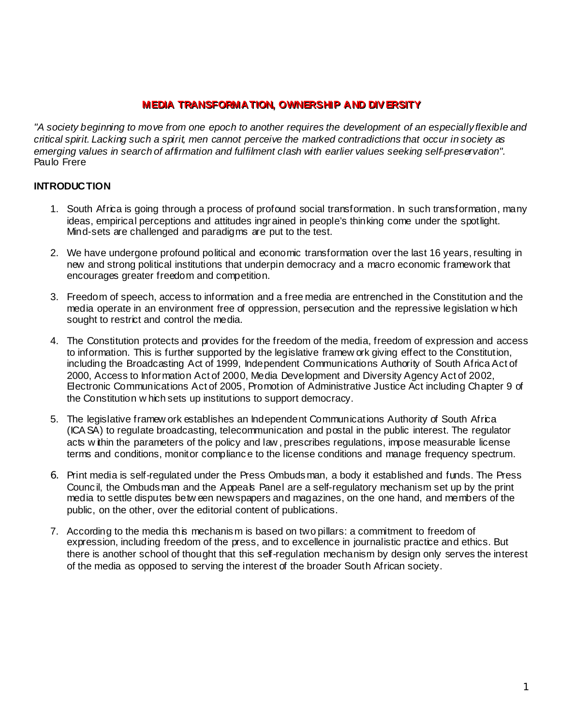# **MEDIA TRANSFORMATION, OWNERSHIP AND DIV ERSITY MEDIA TRANSFORMATION, OWNERSHIP AND DIV ERSITY**

*"A society beginning to move from one epoch to another requires the development of an especially flexible and critical spirit. Lacking such a spirit, men cannot perceive the marked contradictions that occur in society as emerging values in search of affirmation and fulfilment clash with earlier values seeking self-preservation".* Paulo Frere

### **INTRODUCTION**

- 1. South Africa is going through a process of profound social transformation. In such transformation, many ideas, empirical perceptions and attitudes ingrained in people's thinking come under the spotlight. Mind-sets are challenged and paradigms are put to the test.
- 2. We have undergone profound political and economic transformation over the last 16 years, resulting in new and strong political institutions that underpin democracy and a macro economic framework that encourages greater freedom and competition.
- 3. Freedom of speech, access to information and a free media are entrenched in the Constitution and the media operate in an environment free of oppression, persecution and the repressive legislation w hich sought to restrict and control the media.
- 4. The Constitution protects and provides for the freedom of the media, freedom of expression and access to information. This is further supported by the legislative framew ork giving effect to the Constitution, including the Broadcasting Act of 1999, Independent Communications Authority of South Africa Act of 2000, Access to Information Act of 2000, Media Development and Diversity Agency Act of 2002, Electronic Communications Act of 2005, Promotion of Administrative Justice Act including Chapter 9 of the Constitution w hich sets up institutions to support democracy.
- 5. The legislative framew ork establishes an Independent Communications Authority of South Africa (ICA SA) to regulate broadcasting, telecommunication and postal in the public interest. The regulator acts w ithin the parameters of the policy and law , prescribes regulations, impose measurable license terms and conditions, monitor compliance to the license conditions and manage frequency spectrum.
- 6. Print media is self-regulated under the Press Ombudsman, a body it established and funds. The Press Council, the Ombudsman and the Appeals Panel are a self-regulatory mechanism set up by the print media to settle disputes betw een newspapers and magazines, on the one hand, and members of the public, on the other, over the editorial content of publications.
- 7. According to the media this mechanism is based on two pillars: a commitment to freedom of expression, including freedom of the press, and to excellence in journalistic practice and ethics. But there is another school of thought that this self-regulation mechanism by design only serves the interest of the media as opposed to serving the interest of the broader South African society.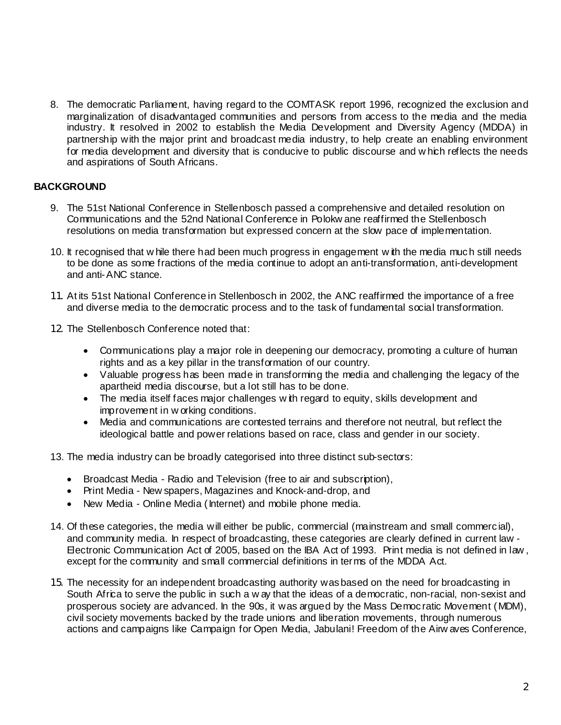8. The democratic Parliament, having regard to the COMTASK report 1996, recognized the exclusion and marginalization of disadvantaged communities and persons from access to the media and the media industry. It resolved in 2002 to establish the Media Development and Diversity Agency (MDDA) in partnership with the major print and broadcast media industry, to help create an enabling environment for media development and diversity that is conducive to public discourse and w hich reflects the needs and aspirations of South Africans.

# **BACKGROUND**

- 9. The 51st National Conference in Stellenbosch passed a comprehensive and detailed resolution on Communications and the 52nd National Conference in Polokw ane reaffirmed the Stellenbosch resolutions on media transformation but expressed concern at the slow pace of implementation.
- 10. It recognised that w hile there had been much progress in engagement w ith the media much still needs to be done as some fractions of the media continue to adopt an anti-transformation, anti-development and anti-ANC stance.
- 11. At its 51st National Conference in Stellenbosch in 2002, the ANC reaffirmed the importance of a free and diverse media to the democratic process and to the task of fundamental social transformation.
- 12. The Stellenbosch Conference noted that:
	- Communications play a major role in deepening our democracy, promoting a culture of human rights and as a key pillar in the transformation of our country.
	- Valuable progress has been made in transforming the media and challenging the legacy of the apartheid media discourse, but a lot still has to be done.
	- The media itself faces major challenges w ith regard to equity, skills development and improvement in w orking conditions.
	- Media and communications are contested terrains and therefore not neutral, but reflect the ideological battle and power relations based on race, class and gender in our society.
- 13. The media industry can be broadly categorised into three distinct sub-sectors:
	- Broadcast Media Radio and Television (free to air and subscription),
	- Print Media New spapers, Magazines and Knock-and-drop, and
	- New Media Online Media (Internet) and mobile phone media.
- 14. Of these categories, the media will either be public, commercial (mainstream and small commercial), and community media. In respect of broadcasting, these categories are clearly defined in current law - Electronic Communication Act of 2005, based on the IBA Act of 1993. Print media is not defined in law , except for the community and small commercial definitions in terms of the MDDA Act.
- 15. The necessity for an independent broadcasting authority was based on the need for broadcasting in South Africa to serve the public in such a w ay that the ideas of a democratic, non-racial, non-sexist and prosperous society are advanced. In the 90s, it was argued by the Mass Democratic Movement (MDM), civil society movements backed by the trade unions and liberation movements, through numerous actions and campaigns like Campaign for Open Media, Jabulani! Freedom of the Airw aves Conference,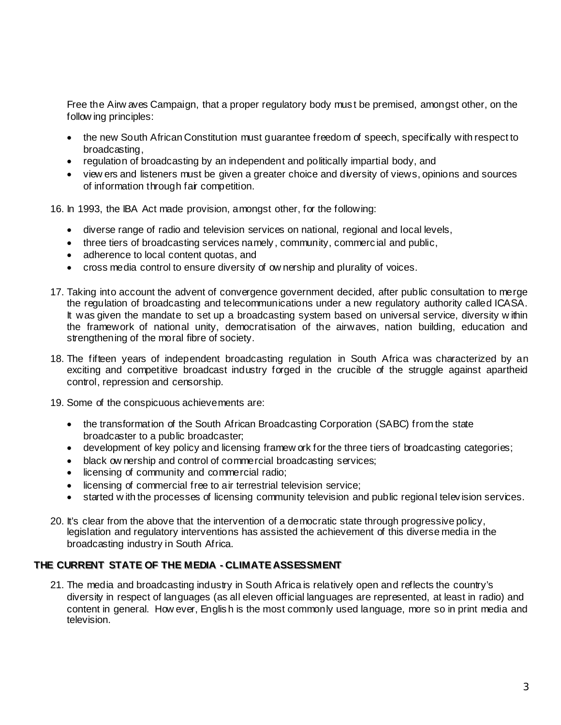Free the Airw aves Campaign, that a proper regulatory body must be premised, amongst other, on the follow ing principles:

- the new South African Constitution must guarantee freedom of speech, specifically with respect to broadcasting,
- regulation of broadcasting by an independent and politically impartial body, and
- view ers and listeners must be given a greater choice and diversity of views, opinions and sources of information through fair competition.

16. In 1993, the IBA Act made provision, amongst other, for the following:

- diverse range of radio and television services on national, regional and local levels,
- three tiers of broadcasting services namely, community, commercial and public,
- adherence to local content quotas, and
- cross media control to ensure diversity of ow nership and plurality of voices.
- 17. Taking into account the advent of convergence government decided, after public consultation to merge the regulation of broadcasting and telecommunications under a new regulatory authority called ICASA. It was given the mandate to set up a broadcasting system based on universal service, diversity within the framework of national unity, democratisation of the airwaves, nation building, education and strengthening of the moral fibre of society.
- 18. The fifteen years of independent broadcasting regulation in South Africa was characterized by an exciting and competitive broadcast industry forged in the crucible of the struggle against apartheid control, repression and censorship.
- 19. Some of the conspicuous achievements are:
	- the transformation of the South African Broadcasting Corporation (SABC) from the state broadcaster to a public broadcaster;
	- development of key policy and licensing framew ork for the three tiers of broadcasting categories;
	- black ow nership and control of commercial broadcasting services;
	- licensing of community and commercial radio;
	- licensing of commercial free to air terrestrial television service;
	- started w ith the processes of licensing community television and public regional television services.
- 20. It's clear from the above that the intervention of a democratic state through progressive policy, legislation and regulatory interventions has assisted the achievement of this diverse media in the broadcasting industry in South Africa.

#### **THE CURRENT STATE OF THE MEDIA - CLIMATE ASSESSMENT THE CURRENT STATE OF THE MEDIA - CLIMATE ASSESSMENT**

21. The media and broadcasting industry in South Africa is relatively open and reflects the country's diversity in respect of languages (as all eleven official languages are represented, at least in radio) and content in general. How ever, English is the most commonly used language, more so in print media and television.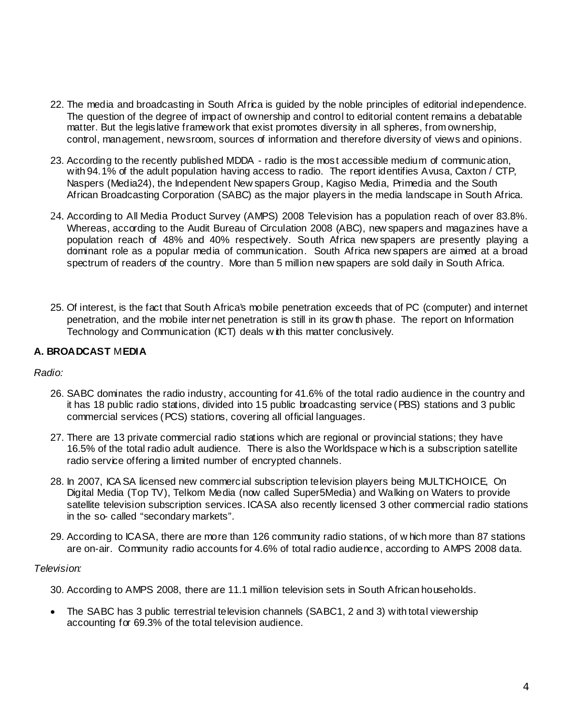- 22. The media and broadcasting in South Africa is guided by the noble principles of editorial independence. The question of the degree of impact of ownership and control to editorial content remains a debatable matter. But the legislative framework that exist promotes diversity in all spheres, from ownership, control, management, newsroom, sources of information and therefore diversity of views and opinions.
- 23. According to the recently published MDDA radio is the most accessible medium of communication, with 94.1% of the adult population having access to radio. The report identifies Avusa, Caxton / CTP, Naspers (Media24), the Independent New spapers Group, Kagiso Media, Primedia and the South African Broadcasting Corporation (SABC) as the major players in the media landscape in South Africa.
- 24. According to All Media Product Survey (AMPS) 2008 Television has a population reach of over 83.8%. Whereas, according to the Audit Bureau of Circulation 2008 (ABC), new spapers and magazines have a population reach of 48% and 40% respectively. South Africa new spapers are presently playing a dominant role as a popular media of communication. South Africa new spapers are aimed at a broad spectrum of readers of the country. More than 5 million new spapers are sold daily in South Africa.
- 25. Of interest, is the fact that South Africa's mobile penetration exceeds that of PC (computer) and internet penetration, and the mobile internet penetration is still in its grow th phase. The report on Information Technology and Communication (ICT) deals w ith this matter conclusively.

# **A. BROADCAST** M**EDIA**

### *Radio:*

- 26. SABC dominates the radio industry, accounting for 41.6% of the total radio audience in the country and it has 18 public radio stations, divided into 15 public broadcasting service (PBS) stations and 3 public commercial services (PCS) stations, covering all official languages.
- 27. There are 13 private commercial radio stations which are regional or provincial stations; they have 16.5% of the total radio adult audience. There is also the Worldspace w hich is a subscription satellite radio service offering a limited number of encrypted channels.
- 28. In 2007, ICA SA licensed new commercial subscription television players being MULTICHOICE, On Digital Media (Top TV), Telkom Media (now called Super5Media) and Walking on Waters to provide satellite television subscription services. ICASA also recently licensed 3 other commercial radio stations in the so- called "secondary markets".
- 29. According to ICASA, there are more than 126 community radio stations, of w hich more than 87 stations are on-air. Community radio accounts for 4.6% of total radio audience, according to AMPS 2008 data.

### *Television:*

- 30. According to AMPS 2008, there are 11.1 million television sets in South African households.
- The SABC has 3 public terrestrial television channels (SABC1, 2 and 3) with total viewership accounting for 69.3% of the total television audience.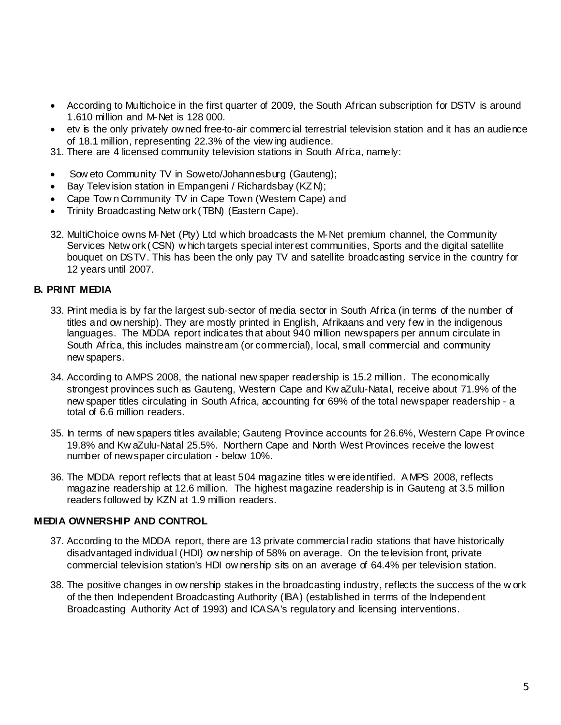- According to Multichoice in the first quarter of 2009, the South African subscription for DSTV is around 1.610 million and M-Net is 128 000.
- etv is the only privately owned free-to-air commercial terrestrial television station and it has an audience of 18.1 million, representing 22.3% of the view ing audience.
- 31. There are 4 licensed community television stations in South Africa, namely:
- Sow eto Community TV in Soweto/Johannesburg (Gauteng);
- Bay Television station in Empangeni / Richardsbay (KZN);
- Cape Town Community TV in Cape Town (Westem Cape) and
- Trinity Broadcasting Netw ork (TBN) (Eastern Cape).
- 32. MultiChoice owns M-Net (Pty) Ltd which broadcasts the M-Net premium channel, the Community Services Netw ork (CSN) w hich targets special interest communities, Sports and the digital satellite bouquet on DSTV. This has been the only pay TV and satellite broadcasting service in the country for 12 years until 2007.

### **B. PRINT MEDIA**

- 33. Print media is by far the largest sub-sector of media sector in South Africa (in terms of the number of titles and ow nership). They are mostly printed in English, Afrikaans and very few in the indigenous languages. The MDDA report indicates that about 940 million newspapers per annum circulate in South Africa, this includes mainstream (or commercial), local, small commercial and community new spapers.
- 34. According to AMPS 2008, the national new spaper readership is 15.2 million. The economically strongest provinces such as Gauteng, Western Cape and Kw aZulu-Natal, receive about 71.9% of the new spaper titles circulating in South Africa, accounting for 69% of the total newspaper readership - a total of 6.6 million readers.
- 35. In terms of new spapers titles available; Gauteng Province accounts for 26.6%, Western Cape Province 19.8% and Kw aZulu-Natal 25.5%. Northern Cape and North West Provinces receive the lowest number of newspaper circulation - below 10%.
- 36. The MDDA report reflects that at least 504 magazine titles w ere identified. A MPS 2008, reflects magazine readership at 12.6 million. The highest magazine readership is in Gauteng at 3.5 million readers followed by KZN at 1.9 million readers.

### **MEDIA OWNERSHIP AND CONTROL**

- 37. According to the MDDA report, there are 13 private commercial radio stations that have historically disadvantaged individual (HDI) ow nership of 58% on average. On the television front, private commercial television station's HDI ow nership sits on an average of 64.4% per television station.
- 38. The positive changes in ow nership stakes in the broadcasting industry, reflects the success of the w ork of the then Independent Broadcasting Authority (IBA) (established in terms of the Independent Broadcasting Authority Act of 1993) and ICASA's regulatory and licensing interventions.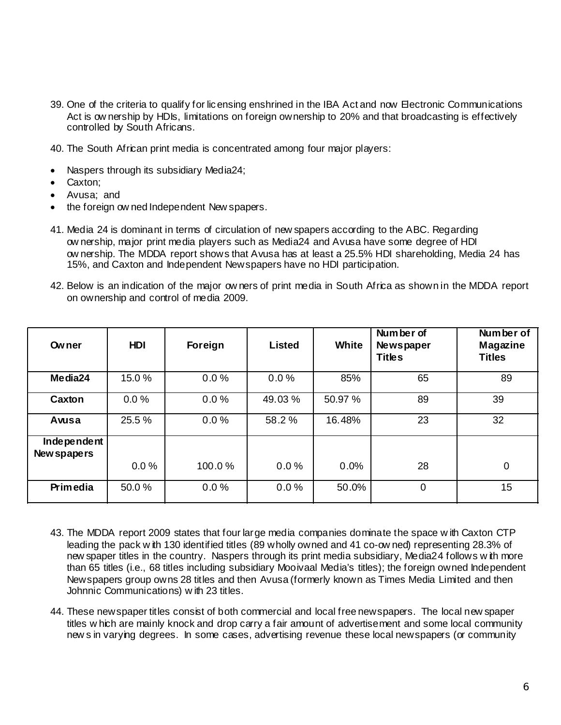- 39. One of the criteria to qualify for licensing enshrined in the IBA Act and now Electronic Communications Act is ow nership by HDIs, limitations on foreign ownership to 20% and that broadcasting is effectively controlled by South Africans.
- 40. The South African print media is concentrated among four major players:
- Naspers through its subsidiary Media24;
- Caxton;
- Avusa; and
- the foreign ow ned Independent New spapers.
- 41. Media 24 is dominant in terms of circulation of new spapers according to the ABC. Regarding ow nership, major print media players such as Media24 and Avusa have some degree of HDI ow nership. The MDDA report shows that Avusa has at least a 25.5% HDI shareholding, Media 24 has 15%, and Caxton and Independent Newspapers have no HDI participation.
- 42. Below is an indication of the major ow ners of print media in South Africa as shown in the MDDA report on ownership and control of media 2009.

| <b>Owner</b>               | <b>HDI</b> | Foreign | <b>Listed</b> | White   | Number of<br><b>Newspaper</b><br><b>Titles</b> | Number of<br>Magazine<br><b>Titles</b> |
|----------------------------|------------|---------|---------------|---------|------------------------------------------------|----------------------------------------|
| Media24                    | 15.0%      | 0.0%    | 0.0%          | 85%     | 65                                             | 89                                     |
| Caxton                     | 0.0%       | 0.0%    | 49.03%        | 50.97 % | 89                                             | 39                                     |
| Avusa                      | 25.5 %     | 0.0%    | 58.2%         | 16.48%  | 23                                             | 32                                     |
| Independent<br>New spapers | 0.0%       | 100.0%  | 0.0%          | 0.0%    | 28                                             | $\mathbf 0$                            |
| Primedia                   | 50.0%      | 0.0%    | 0.0%          | 50.0%   | $\mathbf 0$                                    | 15                                     |

- 43. The MDDA report 2009 states that four large media companies dominate the space w ith Caxton CTP leading the pack w ith 130 identified titles (89 wholly owned and 41 co-ow ned) representing 28.3% of new spaper titles in the country. Naspers through its print media subsidiary, Media24 follows w ith more than 65 titles (i.e., 68 titles including subsidiary Mooivaal Media's titles); the foreign owned Independent Newspapers group owns 28 titles and then Avusa (formerly known as Times Media Limited and then Johnnic Communications) w ith 23 titles.
- 44. These newspaper titles consist of both commercial and local free newspapers. The local new spaper titles w hich are mainly knock and drop carry a fair amount of advertisement and some local community new s in varying degrees. In some cases, advertising revenue these local newspapers (or community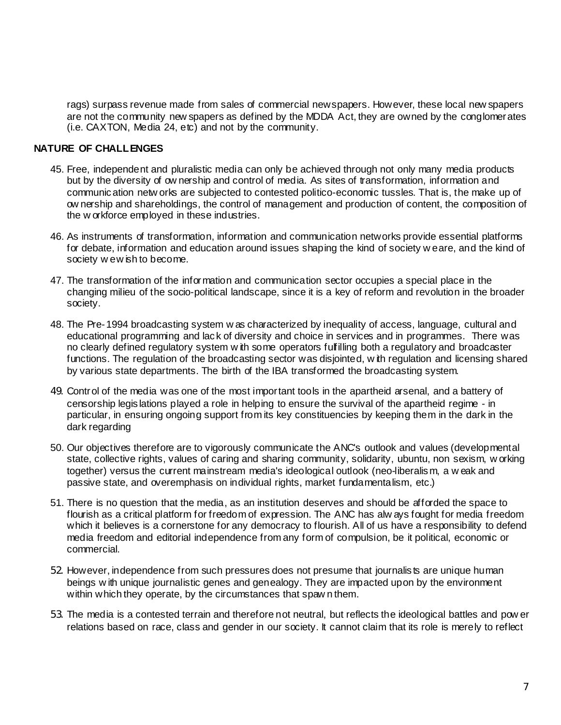rags) surpass revenue made from sales of commercial newspapers. However, these local new spapers are not the community new spapers as defined by the MDDA Act, they are owned by the conglomerates (i.e. CAXTON, Media 24, etc) and not by the community.

### **NATURE OF CHALLENGES**

- 45. Free, independent and pluralistic media can only be achieved through not only many media products but by the diversity of ow nership and control of media. As sites of transformation, information and communication netw orks are subjected to contested politico-economic tussles. That is, the make up of ow nership and shareholdings, the control of management and production of content, the composition of the w orkforce employed in these industries.
- 46. As instruments of transformation, information and communication networks provide essential platforms for debate, information and education around issues shaping the kind of society w eare, and the kind of society w ew ish to become.
- 47. The transformation of the information and communication sector occupies a special place in the changing milieu of the socio-political landscape, since it is a key of reform and revolution in the broader society.
- 48. The Pre-1994 broadcasting system w as characterized by inequality of access, language, cultural and educational programming and lack of diversity and choice in services and in programmes. There was no clearly defined regulatory system w ith some operators fulfilling both a regulatory and broadcaster functions. The regulation of the broadcasting sector was disjointed, w ith regulation and licensing shared by various state departments. The birth of the IBA transformed the broadcasting system.
- 49. Control of the media was one of the most important tools in the apartheid arsenal, and a battery of censorship legislations played a role in helping to ensure the survival of the apartheid regime - in particular, in ensuring ongoing support from its key constituencies by keeping them in the dark in the dark regarding
- 50. Our objectives therefore are to vigorously communicate the ANC's outlook and values (developmental state, collective rights, values of caring and sharing community, solidarity, ubuntu, non sexism, w orking together) versus the current mainstream media's ideological outlook (neo-liberalism, a w eak and passive state, and overemphasis on individual rights, market fundamentalism, etc.)
- 51. There is no question that the media, as an institution deserves and should be afforded the space to flourish as a critical platform for freedom of expression. The ANC has alw ays fought for media freedom which it believes is a cornerstone for any democracy to flourish. All of us have a responsibility to defend media freedom and editorial independence from any form of compulsion, be it political, economic or commercial.
- 52. However, independence from such pressures does not presume that journalists are unique human beings w ith unique journalistic genes and genealogy. They are impacted upon by the environment within which they operate, by the circumstances that spaw n them.
- 53. The media is a contested terrain and therefore not neutral, but reflects the ideological battles and pow er relations based on race, class and gender in our society. It cannot claim that its role is merely to reflect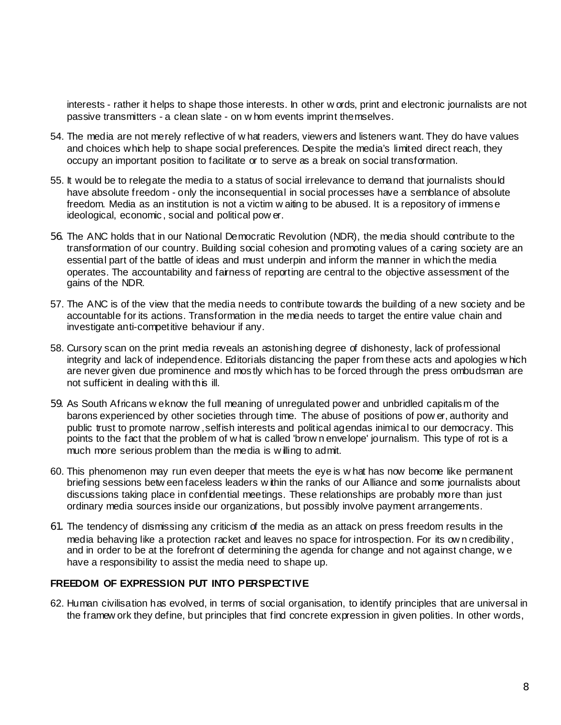interests - rather it helps to shape those interests. In other w ords, print and electronic journalists are not passive transmitters - a clean slate - on w hom events imprint themselves.

- 54. The media are not merely reflective of w hat readers, viewers and listeners want. They do have values and choices which help to shape social preferences. Despite the media's limited direct reach, they occupy an important position to facilitate or to serve as a break on social transformation.
- 55. It would be to relegate the media to a status of social irrelevance to demand that journalists should have absolute freedom - only the inconsequential in social processes have a semblance of absolute freedom. Media as an institution is not a victim w aiting to be abused. It is a repository of immense ideological, economic, social and political pow er.
- 56. The ANC holds that in our National Democratic Revolution (NDR), the media should contribute to the transformation of our country. Building social cohesion and promoting values of a caring society are an essential part of the battle of ideas and must underpin and inform the manner in which the media operates. The accountability and fairness of reporting are central to the objective assessment of the gains of the NDR.
- 57. The ANC is of the view that the media needs to contribute towards the building of a new society and be accountable for its actions. Transformation in the media needs to target the entire value chain and investigate anti-competitive behaviour if any.
- 58. Cursory scan on the print media reveals an astonishing degree of dishonesty, lack of professional integrity and lack of independence. Editorials distancing the paper from these acts and apologies w hich are never given due prominence and mostly which has to be forced through the press ombudsman are not sufficient in dealing with this ill.
- 59. As South Africans w e know the full meaning of unregulated power and unbridled capitalism of the barons experienced by other societies through time. The abuse of positions of pow er, authority and public trust to promote narrow , selfish interests and political agendas inimical to our democracy. This points to the fact that the problem of w hat is called 'brow n envelope' journalism. This type of rot is a much more serious problem than the media is w illing to admit.
- 60. This phenomenon may run even deeper that meets the eye is w hat has now become like permanent briefing sessions betw een faceless leaders w ithin the ranks of our Alliance and some journalists about discussions taking place in confidential meetings. These relationships are probably more than just ordinary media sources inside our organizations, but possibly involve payment arrangements.
- 61. The tendency of dismissing any criticism of the media as an attack on press freedom results in the media behaving like a protection racket and leaves no space for introspection. For its ow n credibility, and in order to be at the forefront of determining the agenda for change and not against change, w e have a responsibility to assist the media need to shape up.

### **FREEDOM OF EXPRESSION PUT INTO PERSPECTIVE**

62. Human civilisation has evolved, in terms of social organisation, to identify principles that are universal in the framew ork they define, but principles that find concrete expression in given polities. In other words,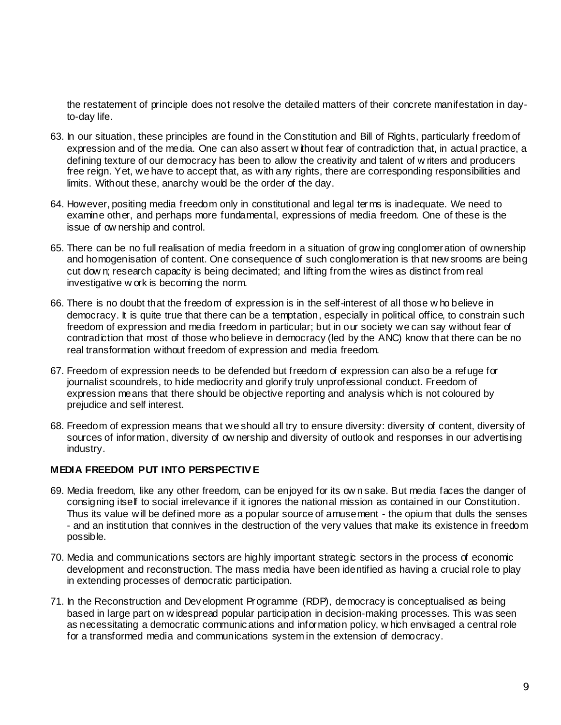the restatement of principle does not resolve the detailed matters of their concrete manifestation in dayto-day life.

- 63. In our situation, these principles are found in the Constitution and Bill of Rights, particularly freedom of expression and of the media. One can also assert w ithout fear of contradiction that, in actual practice, a defining texture of our democracy has been to allow the creativity and talent of w riters and producers free reign. Yet, we have to accept that, as with any rights, there are corresponding responsibilities and limits. Without these, anarchy would be the order of the day.
- 64. However, positing media freedom only in constitutional and legal terms is inadequate. We need to examine other, and perhaps more fundamental, expressions of media freedom. One of these is the issue of ow nership and control.
- 65. There can be no full realisation of media freedom in a situation of grow ing conglomeration of ownership and homogenisation of content. One consequence of such conglomeration is that new srooms are being cut dow n; research capacity is being decimated; and lifting from the wires as distinct from real investigative w ork is becoming the norm.
- 66. There is no doubt that the freedom of expression is in the self-interest of all those w ho believe in democracy. It is quite true that there can be a temptation, especially in political office, to constrain such freedom of expression and media freedom in particular; but in our society we can say without fear of contradiction that most of those who believe in democracy (led by the ANC) know that there can be no real transformation without freedom of expression and media freedom.
- 67. Freedom of expression needs to be defended but freedom of expression can also be a refuge for journalist scoundrels, to hide mediocrity and glorify truly unprofessional conduct. Freedom of expression means that there should be objective reporting and analysis which is not coloured by prejudice and self interest.
- 68. Freedom of expression means that we should all try to ensure diversity: diversity of content, diversity of sources of information, diversity of ow nership and diversity of outlook and responses in our advertising industry.

### **MEDIA FREEDOM PUT INTO PERSPECTIV E**

- 69. Media freedom, like any other freedom, can be enjoyed for its ow n sake. But media faces the danger of consigning itself to social irrelevance if it ignores the national mission as contained in our Constitution. Thus its value will be defined more as a popular source of amusement - the opium that dulls the senses - and an institution that connives in the destruction of the very values that make its existence in freedom possible.
- 70. Media and communications sectors are highly important strategic sectors in the process of economic development and reconstruction. The mass media have been identified as having a crucial role to play in extending processes of democratic participation.
- 71. In the Reconstruction and Development Programme (RDP), democracy is conceptualised as being based in large part on w idespread popular participation in decision-making processes. This was seen as necessitating a democratic communications and information policy, w hich envisaged a central role for a transformed media and communications system in the extension of democracy.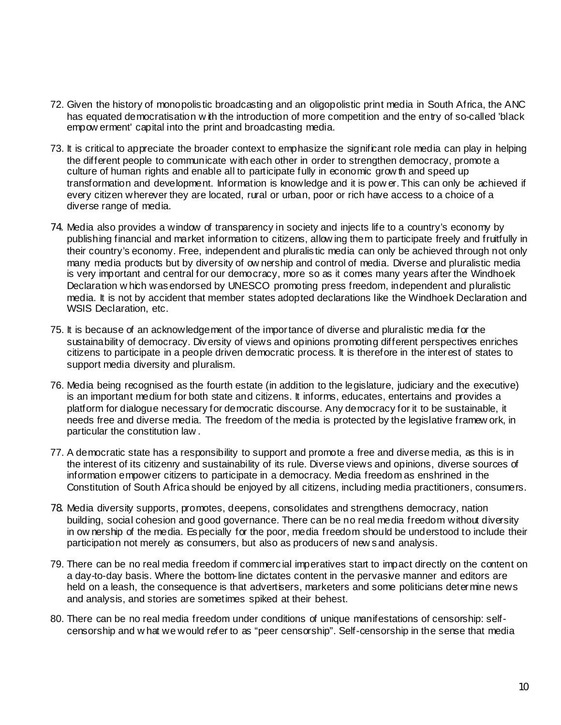- 72. Given the history of monopolistic broadcasting and an oligopolistic print media in South Africa, the ANC has equated democratisation w ith the introduction of more competition and the entry of so-called 'black empow erment' capital into the print and broadcasting media.
- 73. It is critical to appreciate the broader context to emphasize the significant role media can play in helping the different people to communicate with each other in order to strengthen democracy, promote a culture of human rights and enable all to participate fully in economic grow th and speed up transformation and development. Information is knowledge and it is pow er. This can only be achieved if every citizen wherever they are located, rural or urban, poor or rich have access to a choice of a diverse range of media.
- 74. Media also provides a window of transparency in society and injects life to a country's economy by publishing financial and market information to citizens, allow ing them to participate freely and fruitfully in their country's economy. Free, independent and pluralistic media can only be achieved through not only many media products but by diversity of ow nership and control of media. Diverse and pluralistic media is very important and central for our democracy, more so as it comes many years after the Windhoek Declaration w hich was endorsed by UNESCO promoting press freedom, independent and pluralistic media. It is not by accident that member states adopted declarations like the Windhoek Declaration and WSIS Declaration, etc.
- 75. It is because of an acknowledgement of the importance of diverse and pluralistic media for the sustainability of democracy. Diversity of views and opinions promoting different perspectives enriches citizens to participate in a people driven democratic process. It is therefore in the interest of states to support media diversity and pluralism.
- 76. Media being recognised as the fourth estate (in addition to the legislature, judiciary and the executive) is an important medium for both state and citizens. It informs, educates, entertains and provides a platform for dialogue necessary for democratic discourse. Any democracy for it to be sustainable, it needs free and diverse media. The freedom of the media is protected by the legislative framew ork, in particular the constitution law .
- 77. A democratic state has a responsibility to support and promote a free and diverse media, as this is in the interest of its citizenry and sustainability of its rule. Diverse views and opinions, diverse sources of information empower citizens to participate in a democracy. Media freedom as enshrined in the Constitution of South Africa should be enjoyed by all citizens, including media practitioners, consumers.
- 78. Media diversity supports, promotes, deepens, consolidates and strengthens democracy, nation building, social cohesion and good governance. There can be no real media freedom without diversity in ow nership of the media. Especially for the poor, media freedom should be understood to include their participation not merely as consumers, but also as producers of new s and analysis.
- 79. There can be no real media freedom if commercial imperatives start to impact directly on the content on a day-to-day basis. Where the bottom-line dictates content in the pervasive manner and editors are held on a leash, the consequence is that advertisers, marketers and some politicians determine news and analysis, and stories are sometimes spiked at their behest.
- 80. There can be no real media freedom under conditions of unique manifestations of censorship: selfcensorship and w hat we would refer to as "peer censorship". Self-censorship in the sense that media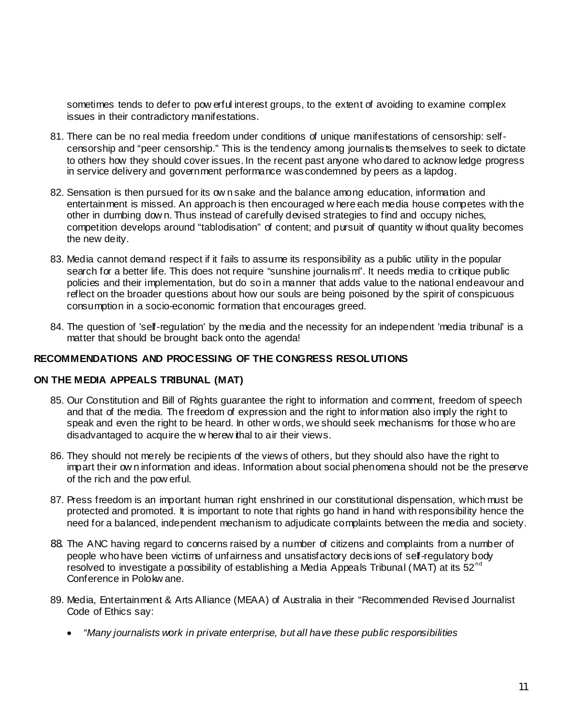sometimes tends to defer to pow erful interest groups, to the extent of avoiding to examine complex issues in their contradictory manifestations.

- 81. There can be no real media freedom under conditions of unique manifestations of censorship: selfcensorship and "peer censorship." This is the tendency among journalists themselves to seek to dictate to others how they should cover issues. In the recent past anyone who dared to acknow ledge progress in service delivery and government performance was condemned by peers as a lapdog.
- 82. Sensation is then pursued for its ow n sake and the balance among education, information and entertainment is missed. An approach is then encouraged w here each media house competes with the other in dumbing dow n. Thus instead of carefully devised strategies to find and occupy niches, competition develops around "tablodisation" of content; and pursuit of quantity w ithout quality becomes the new deity.
- 83. Media cannot demand respect if it fails to assume its responsibility as a public utility in the popular search for a better life. This does not require "sunshine journalism". It needs media to critique public policies and their implementation, but do so in a manner that adds value to the national endeavour and reflect on the broader questions about how our souls are being poisoned by the spirit of conspicuous consumption in a socio-economic formation that encourages greed.
- 84. The question of 'self-regulation' by the media and the necessity for an independent 'media tribunal' is a matter that should be brought back onto the agenda!

#### **RECOMMENDATIONS AND PROCESSING OF THE CONGRESS RESOLUTIONS**

#### **ON THE MEDIA APPEALS TRIBUNAL (MAT)**

- 85. Our Constitution and Bill of Rights guarantee the right to information and comment, freedom of speech and that of the media. The freedom of expression and the right to information also imply the right to speak and even the right to be heard. In other w ords, we should seek mechanisms for those w ho are disadvantaged to acquire the w herew ithal to air their views.
- 86. They should not merely be recipients of the views of others, but they should also have the right to impart their ow n information and ideas. Information about social phenomena should not be the preserve of the rich and the pow erful.
- 87. Press freedom is an important human right enshrined in our constitutional dispensation, which must be protected and promoted. It is important to note that rights go hand in hand with responsibility hence the need for a balanced, independent mechanism to adjudicate complaints between the media and society.
- 88. The ANC having regard to concerns raised by a number of citizens and complaints from a number of people who have been victims of unfairness and unsatisfactory decisions of self-regulatory body resolved to investigate a possibility of establishing a Media Appeals Tribunal (MAT) at its  $52<sup>nd</sup>$ Conference in Polokw ane.
- 89. Media, Entertainment & Arts Alliance (MEAA) of Australia in their "Recommended Revised Journalist Code of Ethics say:
	- *"Many journalists work in private enterprise, but all have these public responsibilities*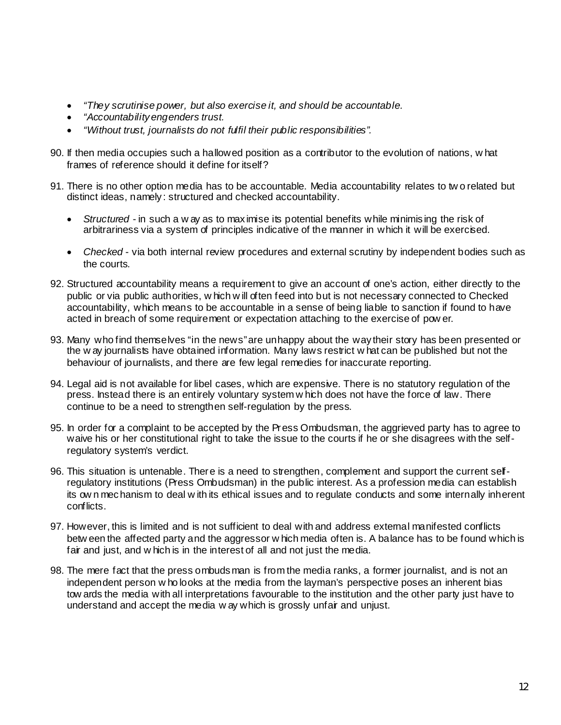- *"They scrutinise power, but also exercise it, and should be accountable.*
- *"Accountability engenders trust.*
- *"Without trust, journalists do not fulfil their public responsibilities".*
- 90. If then media occupies such a hallowed position as a contributor to the evolution of nations, w hat frames of reference should it define for itself?
- 91. There is no other option media has to be accountable. Media accountability relates to tw o related but distinct ideas, namely: structured and checked accountability.
	- *Structured* in such a w ay as to maximise its potential benefits while minimising the risk of arbitrariness via a system of principles indicative of the manner in which it will be exercised.
	- *Checked* via both internal review procedures and external scrutiny by independent bodies such as the courts.
- 92. Structured accountability means a requirement to give an account of one's action, either directly to the public or via public authorities, w hich w ill often feed into but is not necessary connected to Checked accountability, which means to be accountable in a sense of being liable to sanction if found to have acted in breach of some requirement or expectation attaching to the exercise of pow er.
- 93. Many who find themselves "in the news" are unhappy about the way their story has been presented or the w ay journalists have obtained information. Many laws restrict w hat can be published but not the behaviour of journalists, and there are few legal remedies for inaccurate reporting.
- 94. Legal aid is not available for libel cases, which are expensive. There is no statutory regulation of the press. Instead there is an entirely voluntary system w hich does not have the force of law. There continue to be a need to strengthen self-regulation by the press.
- 95. In order for a complaint to be accepted by the Press Ombudsman, the aggrieved party has to agree to waive his or her constitutional right to take the issue to the courts if he or she disagrees with the selfregulatory system's verdict.
- 96. This situation is untenable. There is a need to strengthen, complement and support the current selfregulatory institutions (Press Ombudsman) in the public interest. As a profession media can establish its ow n mechanism to deal w ith its ethical issues and to regulate conducts and some internally inherent conflicts.
- 97. However, this is limited and is not sufficient to deal with and address external manifested conflicts betw een the affected party and the aggressor w hich media often is. A balance has to be found which is fair and just, and w hich is in the interest of all and not just the media.
- 98. The mere fact that the press ombudsman is from the media ranks, a former journalist, and is not an independent person w ho looks at the media from the layman's perspective poses an inherent bias tow ards the media with all interpretations favourable to the institution and the other party just have to understand and accept the media w ay which is grossly unfair and unjust.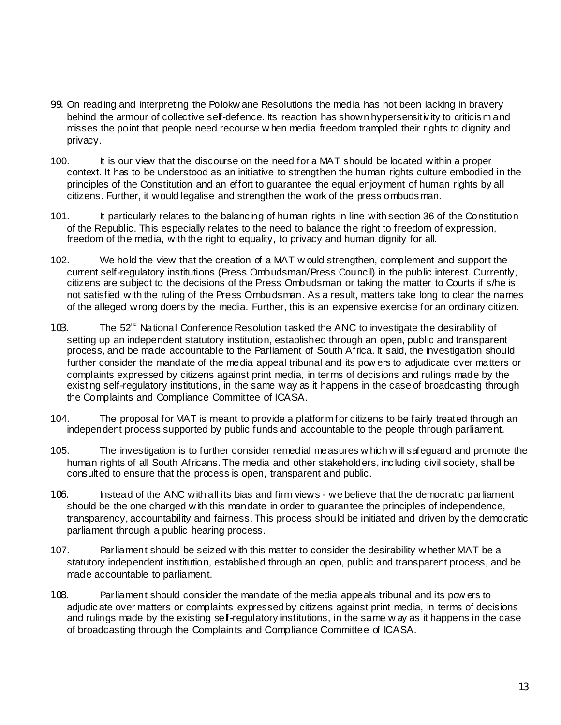- 99. On reading and interpreting the Polokw ane Resolutions the media has not been lacking in bravery behind the armour of collective self-defence. Its reaction has shown hypersensitivity to criticism and misses the point that people need recourse w hen media freedom trampled their rights to dignity and privacy.
- 100. It is our view that the discourse on the need for a MAT should be located within a proper context. It has to be understood as an initiative to strengthen the human rights culture embodied in the principles of the Constitution and an effort to guarantee the equal enjoyment of human rights by all citizens. Further, it would legalise and strengthen the work of the press ombudsman.
- 101. It particularly relates to the balancing of human rights in line with section 36 of the Constitution of the Republic. This especially relates to the need to balance the right to freedom of expression, freedom of the media, with the right to equality, to privacy and human dignity for all.
- 102. We hold the view that the creation of a MAT w ould strengthen, complement and support the current self-regulatory institutions (Press Ombudsman/Press Council) in the public interest. Currently, citizens are subject to the decisions of the Press Ombudsman or taking the matter to Courts if s/he is not satisfied with the ruling of the Press Ombudsman. As a result, matters take long to clear the names of the alleged wrong doers by the media. Further, this is an expensive exercise for an ordinary citizen.
- 103. The  $52<sup>nd</sup>$  National Conference Resolution tasked the ANC to investigate the desirability of setting up an independent statutory institution, established through an open, public and transparent process, and be made accountable to the Parliament of South Africa. It said, the investigation should further consider the mandate of the media appeal tribunal and its pow ers to adjudicate over matters or complaints expressed by citizens against print media, in terms of decisions and rulings made by the existing self-regulatory institutions, in the same way as it happens in the case of broadcasting through the Complaints and Compliance Committee of ICASA.
- 104. The proposal for MAT is meant to provide a platform for citizens to be fairly treated through an independent process supported by public funds and accountable to the people through parliament.
- 105. The investigation is to further consider remedial measures w hich w ill safeguard and promote the human rights of all South Africans. The media and other stakeholders, including civil society, shall be consulted to ensure that the process is open, transparent and public.
- 106. Instead of the ANC with all its bias and firm views we believe that the democratic parliament should be the one charged w ith this mandate in order to guarantee the principles of independence, transparency, accountability and fairness. This process should be initiated and driven by the democratic parliament through a public hearing process.
- 107. Parliament should be seized w ith this matter to consider the desirability w hether MAT be a statutory independent institution, established through an open, public and transparent process, and be made accountable to parliament.
- 108. Parliament should consider the mandate of the media appeals tribunal and its pow ers to adjudicate over matters or complaints expressed by citizens against print media, in terms of decisions and rulings made by the existing self-regulatory institutions, in the same w ay as it happens in the case of broadcasting through the Complaints and Compliance Committee of ICASA.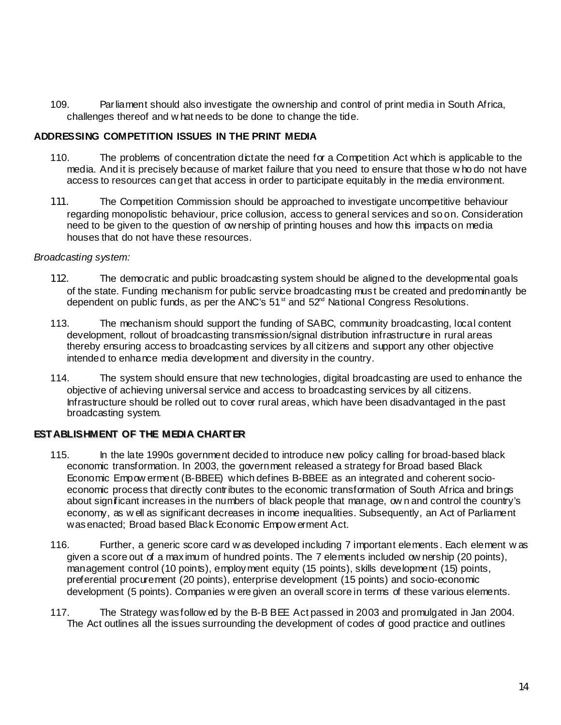109. Parliament should also investigate the ownership and control of print media in South Africa, challenges thereof and w hat needs to be done to change the tide.

### **ADDRESSING COMPETITION ISSUES IN THE PRINT MEDIA**

- 110. The problems of concentration dictate the need for a Competition Act which is applicable to the media. And it is precisely because of market failure that you need to ensure that those w ho do not have access to resources can get that access in order to participate equitably in the media environment.
- 111. The Competition Commission should be approached to investigate uncompetitive behaviour regarding monopolistic behaviour, price collusion, access to general services and so on. Consideration need to be given to the question of ow nership of printing houses and how this impacts on media houses that do not have these resources.

#### *Broadcasting system:*

- 112. The democratic and public broadcasting system should be aligned to the developmental goals of the state. Funding mechanism for public service broadcasting must be created and predominantly be dependent on public funds, as per the ANC's  $51<sup>st</sup>$  and  $52<sup>rd</sup>$  National Congress Resolutions.
- 113. The mechanism should support the funding of SABC, community broadcasting, local content development, rollout of broadcasting transmission/signal distribution infrastructure in rural areas thereby ensuring access to broadcasting services by all citizens and support any other objective intended to enhance media development and diversity in the country.
- 114. The system should ensure that new technologies, digital broadcasting are used to enhance the objective of achieving universal service and access to broadcasting services by all citizens. Infrastructure should be rolled out to cover rural areas, which have been disadvantaged in the past broadcasting system.

# **ESTABLISHMENT OF THE MEDIA CHARTER**

- 115. In the late 1990s government decided to introduce new policy calling for broad-based black economic transformation. In 2003, the government released a strategy for Broad based Black Economic Empow erment (B-BBEE) which defines B-BBEE as an integrated and coherent socioeconomic process that directly contributes to the economic transformation of South Africa and brings about significant increases in the numbers of black people that manage, ow n and control the country's economy, as w ell as significant decreases in income inequalities. Subsequently, an Act of Parliament was enacted; Broad based Black Economic Empow erment Act.
- 116. Further, a generic score card w as developed including 7 important elements. Each element w as given a score out of a maximum of hundred points. The 7 elements included ow nership (20 points), management control (10 points), employment equity (15 points), skills development (15) points, preferential procurement (20 points), enterprise development (15 points) and socio-economic development (5 points). Companies w ere given an overall score in terms of these various elements.
- 117. The Strategy was follow ed by the B-B BEE Act passed in 2003 and promulgated in Jan 2004. The Act outlines all the issues surrounding the development of codes of good practice and outlines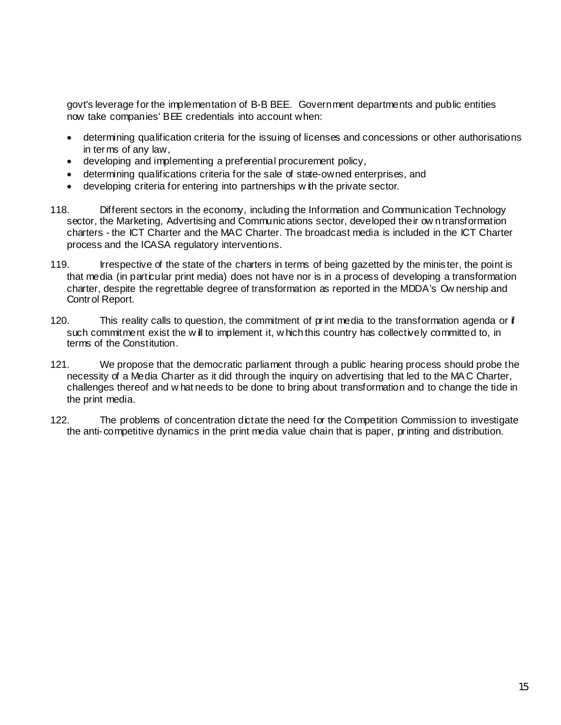govt's leverage for the implementation of B-B BEE. Government departments and public entities now take companies' BEE credentials into account when:

- determining qualification criteria for the issuing of licenses and concessions or other authorisations in terms of any law,
- developing and implementing a preferential procurement policy,
- determining qualifications criteria for the sale of state-owned enterprises, and
- developing criteria for entering into partnerships w ith the private sector.
- 118. Different sectors in the economy, including the Information and Communication Technology sector, the Marketing, Advertising and Communications sector, developed their ow n transformation charters - the ICT Charter and the MAC Charter. The broadcast media is included in the ICT Charter process and the ICASA regulatory interventions.
- 119. Irrespective of the state of the charters in terms of being gazetted by the minister, the point is that media (in particular print media) does not have nor is in a process of developing a transformation charter, despite the regrettable degree of transformation as reported in the MDDA's Ow nership and Control Report.
- 120. This reality calls to question, the commitment of print media to the transformation agenda or if such commitment exist the w ill to implement it, w hich this country has collectively committed to, in terms of the Constitution.
- 121. We propose that the democratic parliament through a public hearing process should probe the necessity of a Media Charter as it did through the inquiry on advertising that led to the MA C Charter, challenges thereof and w hat needs to be done to bring about transformation and to change the tide in the print media.
- 122. The problems of concentration dictate the need for the Competition Commission to investigate the anti-competitive dynamics in the print media value chain that is paper, printing and distribution.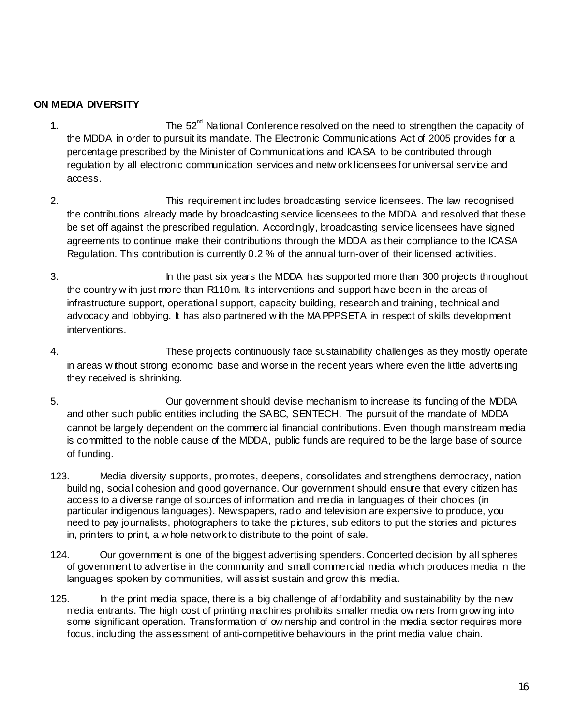# **ON MEDIA DIVERSITY**

- **1.** The 52<sup>nd</sup> National Conference resolved on the need to strengthen the capacity of the MDDA in order to pursuit its mandate. The Electronic Communications Act of 2005 provides for a percentage prescribed by the Minister of Communications and ICASA to be contributed through regulation by all electronic communication services and netw ork licensees for universal service and access.
- 2. This requirement includes broadcasting service licensees. The law recognised the contributions already made by broadcasting service licensees to the MDDA and resolved that these be set off against the prescribed regulation. Accordingly, broadcasting service licensees have signed agreements to continue make their contributions through the MDDA as their compliance to the ICASA Regulation. This contribution is currently 0.2 % of the annual turn-over of their licensed activities.
- 3. In the past six years the MDDA has supported more than 300 projects throughout the country w ith just more than R110m. Its interventions and support have been in the areas of infrastructure support, operational support, capacity building, research and training, technical and advocacy and lobbying. It has also partnered w ith the MA PPPSETA in respect of skills development interventions.
- 4. These projects continuously face sustainability challenges as they mostly operate in areas w ithout strong economic base and worse in the recent years where even the little advertising they received is shrinking.
- 5. Our government should devise mechanism to increase its funding of the MDDA and other such public entities including the SABC, SENTECH. The pursuit of the mandate of MDDA cannot be largely dependent on the commercial financial contributions. Even though mainstream media is committed to the noble cause of the MDDA, public funds are required to be the large base of source of funding.
- 123. Media diversity supports, promotes, deepens, consolidates and strengthens democracy, nation building, social cohesion and good governance. Our government should ensure that every citizen has access to a diverse range of sources of information and media in languages of their choices (in particular indigenous languages). Newspapers, radio and television are expensive to produce, you need to pay journalists, photographers to take the pictures, sub editors to put the stories and pictures in, printers to print, a w hole network to distribute to the point of sale.
- 124. Our government is one of the biggest advertising spenders. Concerted decision by all spheres of government to advertise in the community and small commercial media which produces media in the languages spoken by communities, will assist sustain and grow this media.
- 125. In the print media space, there is a big challenge of affordability and sustainability by the new media entrants. The high cost of printing machines prohibits smaller media ow ners from grow ing into some significant operation. Transformation of ow nership and control in the media sector requires more focus, including the assessment of anti-competitive behaviours in the print media value chain.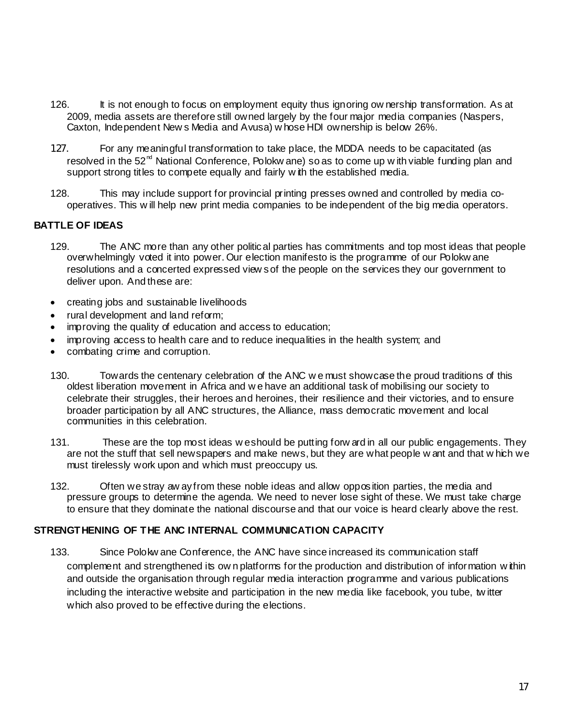- 126. It is not enough to focus on employment equity thus ignoring ow nership transformation. As at 2009, media assets are therefore still owned largely by the four major media companies (Naspers, Caxton, Independent New s Media and Avusa) w hose HDI ownership is below 26%.
- 127. For any meaningful transformation to take place, the MDDA needs to be capacitated (as resolved in the  $52<sup>nd</sup>$  National Conference, Polokw ane) so as to come up w ith viable funding plan and support strong titles to compete equally and fairly w ith the established media.
- 128. This may include support for provincial printing presses owned and controlled by media cooperatives. This w ill help new print media companies to be independent of the big media operators.

### **BATTLE OF IDEAS**

- 129. The ANC more than any other political parties has commitments and top most ideas that people overwhelmingly voted it into power. Our election manifesto is the programme of our Polokw ane resolutions and a concerted expressed view s of the people on the services they our government to deliver upon. And these are:
- creating jobs and sustainable livelihoods
- rural development and land reform;
- improving the quality of education and access to education;
- improving access to health care and to reduce inequalities in the health system; and
- combating crime and corruption.
- 130. Towards the centenary celebration of the ANC w e must showcase the proud traditions of this oldest liberation movement in Africa and w e have an additional task of mobilising our society to celebrate their struggles, their heroes and heroines, their resilience and their victories, and to ensure broader participation by all ANC structures, the Alliance, mass democratic movement and local communities in this celebration.
- 131. These are the top most ideas w e should be putting forw ard in all our public engagements. They are not the stuff that sell newspapers and make news, but they are what people w ant and that w hich we must tirelessly work upon and which must preoccupy us.
- 132. Often we stray aw ay from these noble ideas and allow opposition parties, the media and pressure groups to determine the agenda. We need to never lose sight of these. We must take charge to ensure that they dominate the national discourse and that our voice is heard clearly above the rest.

### **STRENGTHENING OF THE ANC INTERNAL COMMUNICATION CAPACITY**

133. Since Polokw ane Conference, the ANC have since increased its communication staff complement and strengthened its ow n platforms for the production and distribution of information w ithin and outside the organisation through regular media interaction programme and various publications including the interactive website and participation in the new media like facebook, you tube, tw itter which also proved to be effective during the elections.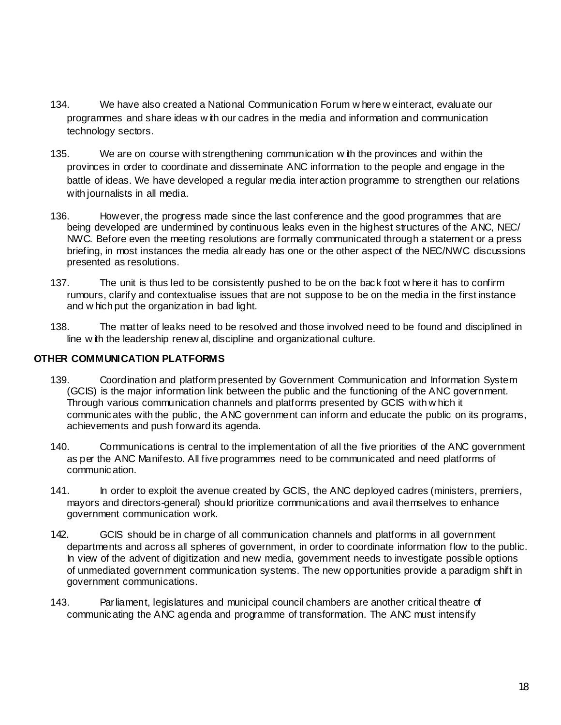- 134. We have also created a National Communication Forum w here w e interact, evaluate our programmes and share ideas w ith our cadres in the media and information and communication technology sectors.
- 135. We are on course with strengthening communication w ith the provinces and within the provinces in order to coordinate and disseminate ANC information to the people and engage in the battle of ideas. We have developed a regular media interaction programme to strengthen our relations with journalists in all media.
- 136. However, the progress made since the last conference and the good programmes that are being developed are undermined by continuous leaks even in the highest structures of the ANC, NEC/ NWC. Before even the meeting resolutions are formally communicated through a statement or a press briefing, in most instances the media already has one or the other aspect of the NEC/NWC discussions presented as resolutions.
- 137. The unit is thus led to be consistently pushed to be on the back foot w here it has to confirm rumours, clarify and contextualise issues that are not suppose to be on the media in the first instance and w hich put the organization in bad light.
- 138. The matter of leaks need to be resolved and those involved need to be found and disciplined in line w ith the leadership renew al, discipline and organizational culture.

## **OTHER COMMUNICATION PLATFORMS**

- 139. Coordination and platform presented by Government Communication and Information System (GCIS) is the major information link between the public and the functioning of the ANC government. Through various communication channels and platforms presented by GCIS with w hich it communicates with the public, the ANC government can inform and educate the public on its programs, achievements and push forward its agenda.
- 140. Communications is central to the implementation of all the five priorities of the ANC government as per the ANC Manifesto. All five programmes need to be communicated and need platforms of communication.
- 141. In order to exploit the avenue created by GCIS, the ANC deployed cadres (ministers, premiers, mayors and directors-general) should prioritize communications and avail themselves to enhance government communication work.
- 142. GCIS should be in charge of all communication channels and platforms in all government departments and across all spheres of government, in order to coordinate information flow to the public. In view of the advent of digitization and new media, government needs to investigate possible options of unmediated government communication systems. The new opportunities provide a paradigm shift in government communications.
- 143. Parliament, legislatures and municipal council chambers are another critical theatre of communicating the ANC agenda and programme of transformation. The ANC must intensify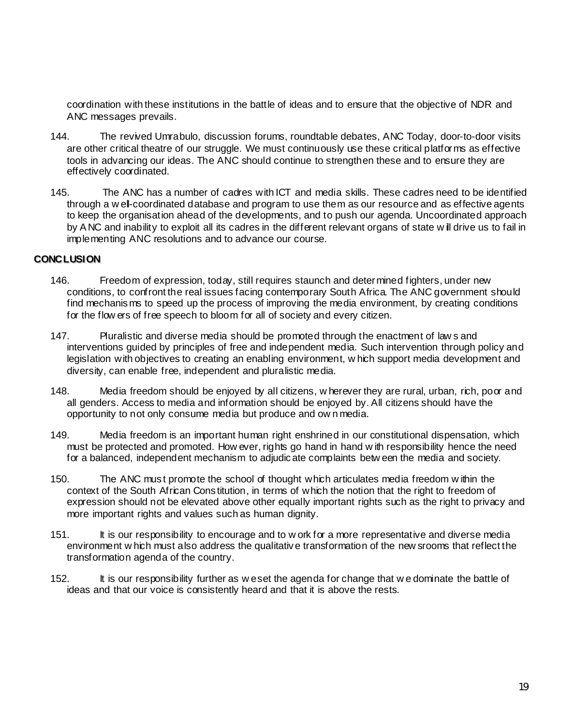coordination with these institutions in the battle of ideas and to ensure that the objective of NDR and ANC messages prevails.

- 144. The revived Umrabulo, discussion forums, roundtable debates, ANC Today, door-to-door visits are other critical theatre of our struggle. We must continuously use these critical platforms as effective tools in advancing our ideas. The ANC should continue to strengthen these and to ensure they are effectively coordinated.
- 145. The ANC has a number of cadres with ICT and media skills. These cadres need to be identified through a w el-coordinated database and program to use them as our resource and as effective agents to keep the organisation ahead of the developments, and to push our agenda. Uncoordinated approach by A NC and inability to exploit all its cadres in the different relevant organs of state w ill drive us to fail in implementing ANC resolutions and to advance our course.

### **CONCLUSION CONCLUSION**

- 146. Freedom of expression, today, still requires staunch and determined fighters, under new conditions, to confront the real issues facing contemporary South Africa. The ANC government should find mechanisms to speed up the process of improving the media environment, by creating conditions for the flow ers of free speech to bloom for all of society and every citizen.
- 147. Pluralistic and diverse media should be promoted through the enactment of law s and interventions guided by principles of free and independent media. Such intervention through policy and legislation with objectives to creating an enabling environment, w hich support media development and diversity, can enable free, independent and pluralistic media.
- 148. Media freedom should be enjoyed by all citizens, w herever they are rural, urban, rich, poor and all genders. Access to media and information should be enjoyed by. All citizens should have the opportunity to not only consume media but produce and ow n media.
- 149. Media freedom is an important human right enshrined in our constitutional dispensation, which must be protected and promoted. How ever, rights go hand in hand w ith responsibility hence the need for a balanced, independent mechanism to adjudicate complaints betw een the media and society.
- 150. The ANC must promote the school of thought which articulates media freedom w ithin the context of the South African Constitution, in terms of which the notion that the right to freedom of expression should not be elevated above other equally important rights such as the right to privacy and more important rights and values such as human dignity.
- 151. It is our responsibility to encourage and to w ork for a more representative and diverse media environment w hich must also address the qualitative transformation of the new srooms that reflect the transformation agenda of the country.
- 152. It is our responsibility further as w e set the agenda for change that we dominate the battle of ideas and that our voice is consistently heard and that it is above the rests.